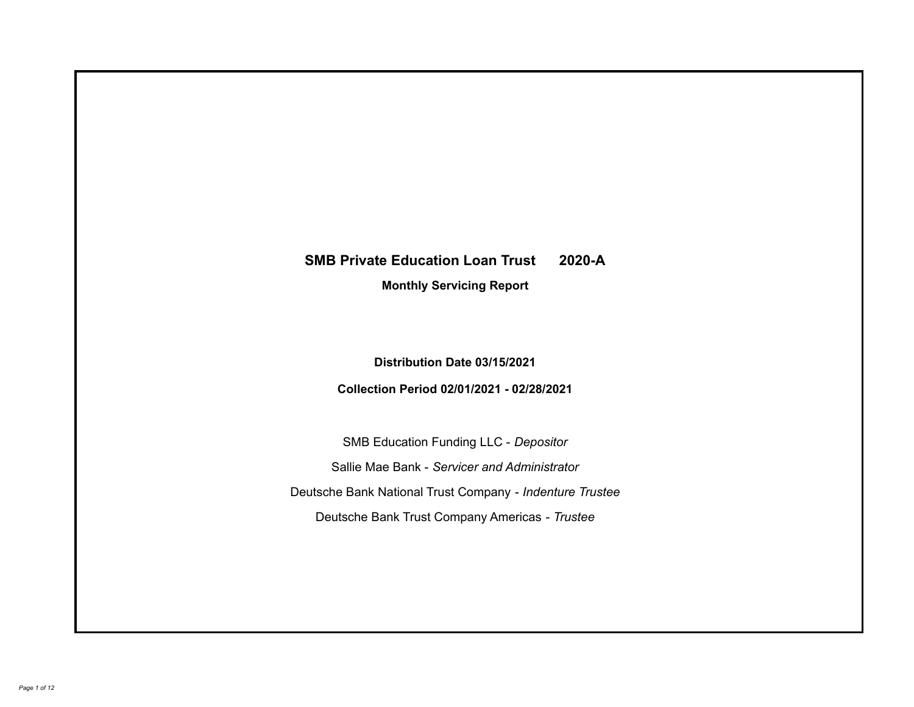# **SMB Private Education Loan Trust 2020-A**

**Monthly Servicing Report**

**Distribution Date 03/15/2021**

**Collection Period 02/01/2021 - 02/28/2021**

SMB Education Funding LLC - *Depositor* Sallie Mae Bank - *Servicer and Administrator* Deutsche Bank National Trust Company - *Indenture Trustee* Deutsche Bank Trust Company Americas - *Trustee*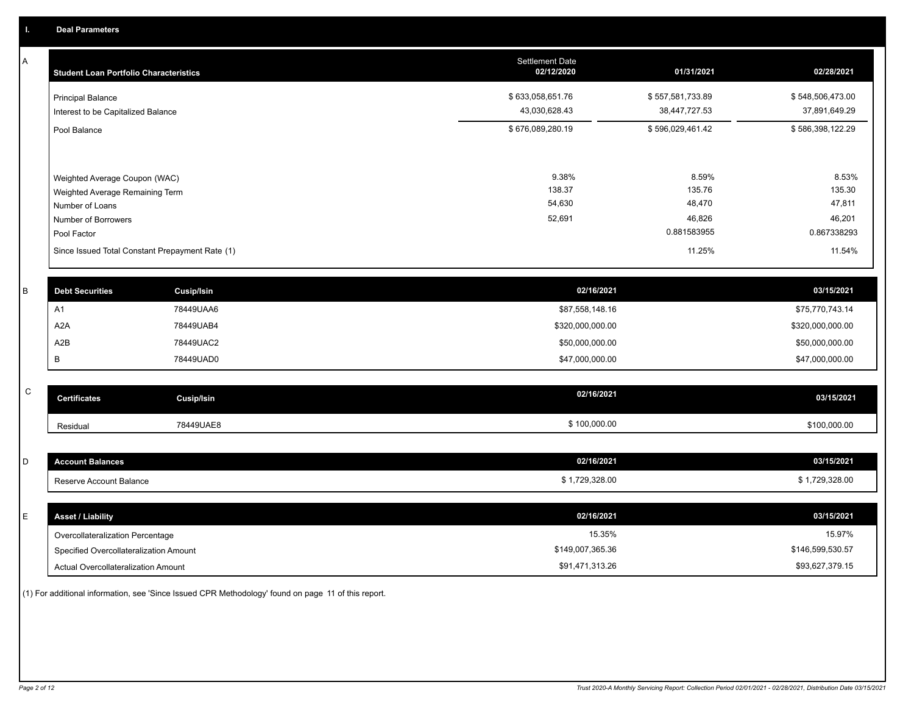A

| <b>Student Loan Portfolio Characteristics</b>                                       | <b>Settlement Date</b><br>02/12/2020 | 01/31/2021                        | 02/28/2021                        |
|-------------------------------------------------------------------------------------|--------------------------------------|-----------------------------------|-----------------------------------|
| <b>Principal Balance</b><br>Interest to be Capitalized Balance                      | \$633,058,651.76<br>43,030,628.43    | \$557,581,733.89<br>38,447,727.53 | \$548,506,473.00<br>37,891,649.29 |
| Pool Balance                                                                        | \$676,089,280.19                     | \$596,029,461.42                  | \$586,398,122.29                  |
| Weighted Average Coupon (WAC)<br>Weighted Average Remaining Term<br>Number of Loans | 9.38%<br>138.37<br>54,630            | 8.59%<br>135.76<br>48,470         | 8.53%<br>135.30<br>47,811         |
| Number of Borrowers                                                                 | 52,691                               | 46,826                            | 46,201                            |
| Pool Factor                                                                         |                                      | 0.881583955                       | 0.867338293                       |
| Since Issued Total Constant Prepayment Rate (1)                                     |                                      | 11.25%                            | 11.54%                            |

| <b>Debt Securities</b> | <b>Cusip/Isin</b> | 02/16/2021       | 03/15/2021       |
|------------------------|-------------------|------------------|------------------|
| A1                     | 78449UAA6         | \$87,558,148.16  | \$75,770,743.14  |
| A <sub>2</sub> A       | 78449UAB4         | \$320,000,000.00 | \$320,000,000.00 |
| A2B                    | 78449UAC2         | \$50,000,000.00  | \$50,000,000.00  |
|                        | 78449UAD0         | \$47,000,000.00  | \$47,000,000.00  |

| $\sim$<br>◡ | <b>Certificates</b> | Cusip/Isin | 02/16/2021 | 03/15/2021   |
|-------------|---------------------|------------|------------|--------------|
|             | Residual            | 78449UAE8  | 100,000.00 | \$100,000.00 |

| D      | <b>Account Balances</b>                          | 02/16/2021     | 03/15/2021     |
|--------|--------------------------------------------------|----------------|----------------|
|        | Reserve Account Balance                          | \$1,729,328.00 | \$1,729,328.00 |
|        |                                                  |                |                |
| -<br>- | <b>Asset / Liability</b>                         | 02/16/2021     | 03/15/2021     |
|        | $\sim$ $\sim$ $\sim$ $\sim$ $\sim$ $\sim$ $\sim$ | $4E$ $2E$ $0/$ | 4E070/         |

| Overcollateralization Percentage       | '5.35%           | 15.97%           |
|----------------------------------------|------------------|------------------|
| Specified Overcollateralization Amount | \$149,007,365.36 | \$146,599,530.57 |
| Actual Overcollateralization Amount    | \$91.471.313.26  | \$93,627,379.15  |

(1) For additional information, see 'Since Issued CPR Methodology' found on page 11 of this report.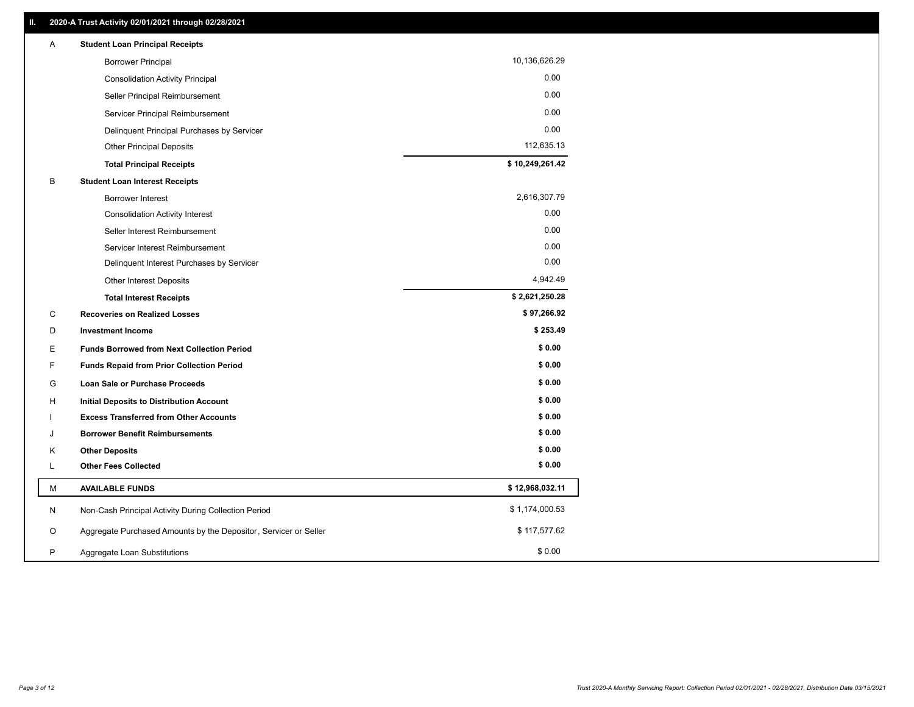| 10,136,626.29<br><b>Borrower Principal</b><br>0.00<br><b>Consolidation Activity Principal</b><br>0.00<br>Seller Principal Reimbursement<br>0.00<br>Servicer Principal Reimbursement<br>0.00<br>Delinquent Principal Purchases by Servicer<br>112,635.13<br><b>Other Principal Deposits</b><br>\$10,249,261.42<br><b>Total Principal Receipts</b><br>В<br><b>Student Loan Interest Receipts</b> |
|------------------------------------------------------------------------------------------------------------------------------------------------------------------------------------------------------------------------------------------------------------------------------------------------------------------------------------------------------------------------------------------------|
|                                                                                                                                                                                                                                                                                                                                                                                                |
|                                                                                                                                                                                                                                                                                                                                                                                                |
|                                                                                                                                                                                                                                                                                                                                                                                                |
|                                                                                                                                                                                                                                                                                                                                                                                                |
|                                                                                                                                                                                                                                                                                                                                                                                                |
|                                                                                                                                                                                                                                                                                                                                                                                                |
|                                                                                                                                                                                                                                                                                                                                                                                                |
|                                                                                                                                                                                                                                                                                                                                                                                                |
| 2,616,307.79<br><b>Borrower Interest</b>                                                                                                                                                                                                                                                                                                                                                       |
| 0.00<br><b>Consolidation Activity Interest</b>                                                                                                                                                                                                                                                                                                                                                 |
| 0.00<br>Seller Interest Reimbursement                                                                                                                                                                                                                                                                                                                                                          |
| 0.00<br>Servicer Interest Reimbursement                                                                                                                                                                                                                                                                                                                                                        |
| 0.00<br>Delinquent Interest Purchases by Servicer                                                                                                                                                                                                                                                                                                                                              |
| 4,942.49<br>Other Interest Deposits                                                                                                                                                                                                                                                                                                                                                            |
| \$2,621,250.28<br><b>Total Interest Receipts</b>                                                                                                                                                                                                                                                                                                                                               |
| \$97,266.92<br>C<br><b>Recoveries on Realized Losses</b>                                                                                                                                                                                                                                                                                                                                       |
| \$253.49<br>D<br><b>Investment Income</b>                                                                                                                                                                                                                                                                                                                                                      |
| \$0.00<br>Е<br><b>Funds Borrowed from Next Collection Period</b>                                                                                                                                                                                                                                                                                                                               |
| \$0.00<br>F.<br><b>Funds Repaid from Prior Collection Period</b>                                                                                                                                                                                                                                                                                                                               |
| \$0.00<br>G<br>Loan Sale or Purchase Proceeds                                                                                                                                                                                                                                                                                                                                                  |
| \$0.00<br>н<br><b>Initial Deposits to Distribution Account</b>                                                                                                                                                                                                                                                                                                                                 |
| \$0.00<br><b>Excess Transferred from Other Accounts</b>                                                                                                                                                                                                                                                                                                                                        |
| \$0.00<br><b>Borrower Benefit Reimbursements</b><br>J                                                                                                                                                                                                                                                                                                                                          |
| \$0.00<br>Κ<br><b>Other Deposits</b>                                                                                                                                                                                                                                                                                                                                                           |
| \$0.00<br><b>Other Fees Collected</b><br>L                                                                                                                                                                                                                                                                                                                                                     |
| \$12,968,032.11<br>М<br><b>AVAILABLE FUNDS</b>                                                                                                                                                                                                                                                                                                                                                 |
| \$1,174,000.53<br>Non-Cash Principal Activity During Collection Period<br>N                                                                                                                                                                                                                                                                                                                    |
| \$117,577.62<br>Aggregate Purchased Amounts by the Depositor, Servicer or Seller<br>O                                                                                                                                                                                                                                                                                                          |
| \$0.00<br>P<br>Aggregate Loan Substitutions                                                                                                                                                                                                                                                                                                                                                    |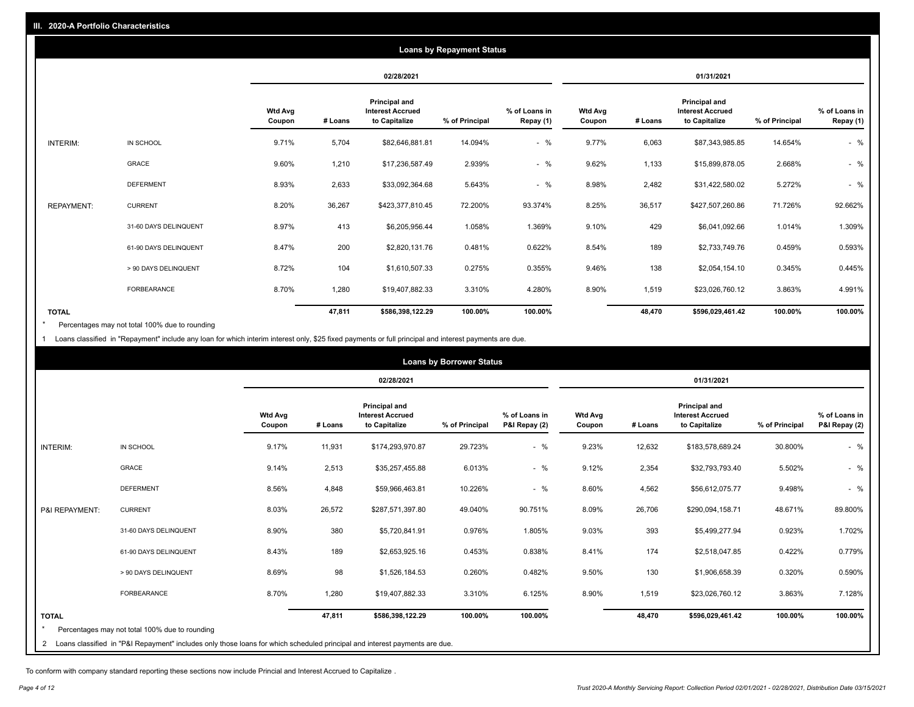|                   |                       |                          |         |                                                           | <b>Loans by Repayment Status</b> |                            |                   |         |                                                           |                |                            |
|-------------------|-----------------------|--------------------------|---------|-----------------------------------------------------------|----------------------------------|----------------------------|-------------------|---------|-----------------------------------------------------------|----------------|----------------------------|
|                   |                       |                          |         | 02/28/2021                                                |                                  |                            |                   |         | 01/31/2021                                                |                |                            |
|                   |                       | <b>Wtd Avg</b><br>Coupon | # Loans | Principal and<br><b>Interest Accrued</b><br>to Capitalize | % of Principal                   | % of Loans in<br>Repay (1) | Wtd Avg<br>Coupon | # Loans | Principal and<br><b>Interest Accrued</b><br>to Capitalize | % of Principal | % of Loans in<br>Repay (1) |
| INTERIM:          | IN SCHOOL             | 9.71%                    | 5,704   | \$82,646,881.81                                           | 14.094%                          | $-$ %                      | 9.77%             | 6,063   | \$87,343,985.85                                           | 14.654%        | $-$ %                      |
|                   | GRACE                 | 9.60%                    | 1,210   | \$17,236,587.49                                           | 2.939%                           | $-$ %                      | 9.62%             | 1,133   | \$15,899,878.05                                           | 2.668%         | $-$ %                      |
|                   | <b>DEFERMENT</b>      | 8.93%                    | 2,633   | \$33,092,364.68                                           | 5.643%                           | $-$ %                      | 8.98%             | 2,482   | \$31,422,580.02                                           | 5.272%         | $-$ %                      |
| <b>REPAYMENT:</b> | <b>CURRENT</b>        | 8.20%                    | 36,267  | \$423,377,810.45                                          | 72.200%                          | 93.374%                    | 8.25%             | 36,517  | \$427,507,260.86                                          | 71.726%        | 92.662%                    |
|                   | 31-60 DAYS DELINQUENT | 8.97%                    | 413     | \$6,205,956.44                                            | 1.058%                           | 1.369%                     | 9.10%             | 429     | \$6,041,092.66                                            | 1.014%         | 1.309%                     |
|                   | 61-90 DAYS DELINQUENT | 8.47%                    | 200     | \$2,820,131.76                                            | 0.481%                           | 0.622%                     | 8.54%             | 189     | \$2,733,749.76                                            | 0.459%         | 0.593%                     |
|                   | > 90 DAYS DELINQUENT  | 8.72%                    | 104     | \$1,610,507.33                                            | 0.275%                           | 0.355%                     | 9.46%             | 138     | \$2,054,154.10                                            | 0.345%         | 0.445%                     |
|                   | <b>FORBEARANCE</b>    | 8.70%                    | 1,280   | \$19,407,882.33                                           | 3.310%                           | 4.280%                     | 8.90%             | 1,519   | \$23,026,760.12                                           | 3.863%         | 4.991%                     |
| <b>TOTAL</b>      |                       |                          | 47,811  | \$586,398,122.29                                          | 100.00%                          | 100.00%                    |                   | 48,470  | \$596,029,461.42                                          | 100.00%        | 100.00%                    |

Percentages may not total 100% due to rounding  $\pmb{\ast}$ 

1 Loans classified in "Repayment" include any loan for which interim interest only, \$25 fixed payments or full principal and interest payments are due.

|                 |                                                                                                                              |                          |         |                                                           | <b>Loans by Borrower Status</b> |                                |                          |         |                                                                  |                |                                |
|-----------------|------------------------------------------------------------------------------------------------------------------------------|--------------------------|---------|-----------------------------------------------------------|---------------------------------|--------------------------------|--------------------------|---------|------------------------------------------------------------------|----------------|--------------------------------|
|                 |                                                                                                                              |                          |         | 02/28/2021                                                |                                 |                                |                          |         | 01/31/2021                                                       |                |                                |
|                 |                                                                                                                              | <b>Wtd Avg</b><br>Coupon | # Loans | Principal and<br><b>Interest Accrued</b><br>to Capitalize | % of Principal                  | % of Loans in<br>P&I Repay (2) | <b>Wtd Avg</b><br>Coupon | # Loans | <b>Principal and</b><br><b>Interest Accrued</b><br>to Capitalize | % of Principal | % of Loans in<br>P&I Repay (2) |
| <b>INTERIM:</b> | IN SCHOOL                                                                                                                    | 9.17%                    | 11,931  | \$174,293,970.87                                          | 29.723%                         | $-$ %                          | 9.23%                    | 12,632  | \$183,578,689.24                                                 | 30.800%        | $-$ %                          |
|                 | <b>GRACE</b>                                                                                                                 | 9.14%                    | 2,513   | \$35,257,455.88                                           | 6.013%                          | $-$ %                          | 9.12%                    | 2,354   | \$32,793,793.40                                                  | 5.502%         | $-$ %                          |
|                 | <b>DEFERMENT</b>                                                                                                             | 8.56%                    | 4,848   | \$59,966,463.81                                           | 10.226%                         | $-$ %                          | 8.60%                    | 4,562   | \$56,612,075.77                                                  | 9.498%         | $-$ %                          |
| P&I REPAYMENT:  | <b>CURRENT</b>                                                                                                               | 8.03%                    | 26,572  | \$287,571,397.80                                          | 49.040%                         | 90.751%                        | 8.09%                    | 26,706  | \$290,094,158.71                                                 | 48.671%        | 89.800%                        |
|                 | 31-60 DAYS DELINQUENT                                                                                                        | 8.90%                    | 380     | \$5,720,841.91                                            | 0.976%                          | 1.805%                         | 9.03%                    | 393     | \$5,499,277.94                                                   | 0.923%         | 1.702%                         |
|                 | 61-90 DAYS DELINQUENT                                                                                                        | 8.43%                    | 189     | \$2,653,925.16                                            | 0.453%                          | 0.838%                         | 8.41%                    | 174     | \$2,518,047.85                                                   | 0.422%         | 0.779%                         |
|                 | > 90 DAYS DELINQUENT                                                                                                         | 8.69%                    | 98      | \$1,526,184.53                                            | 0.260%                          | 0.482%                         | 9.50%                    | 130     | \$1,906,658.39                                                   | 0.320%         | 0.590%                         |
|                 | <b>FORBEARANCE</b>                                                                                                           | 8.70%                    | 1,280   | \$19,407,882.33                                           | 3.310%                          | 6.125%                         | 8.90%                    | 1,519   | \$23,026,760.12                                                  | 3.863%         | 7.128%                         |
| <b>TOTAL</b>    |                                                                                                                              |                          | 47,811  | \$586,398,122.29                                          | 100.00%                         | 100.00%                        |                          | 48,470  | \$596,029,461.42                                                 | 100.00%        | 100.00%                        |
|                 | Percentages may not total 100% due to rounding                                                                               |                          |         |                                                           |                                 |                                |                          |         |                                                                  |                |                                |
|                 | 2 Loans classified in "P&I Repayment" includes only those loans for which scheduled principal and interest payments are due. |                          |         |                                                           |                                 |                                |                          |         |                                                                  |                |                                |

To conform with company standard reporting these sections now include Princial and Interest Accrued to Capitalize .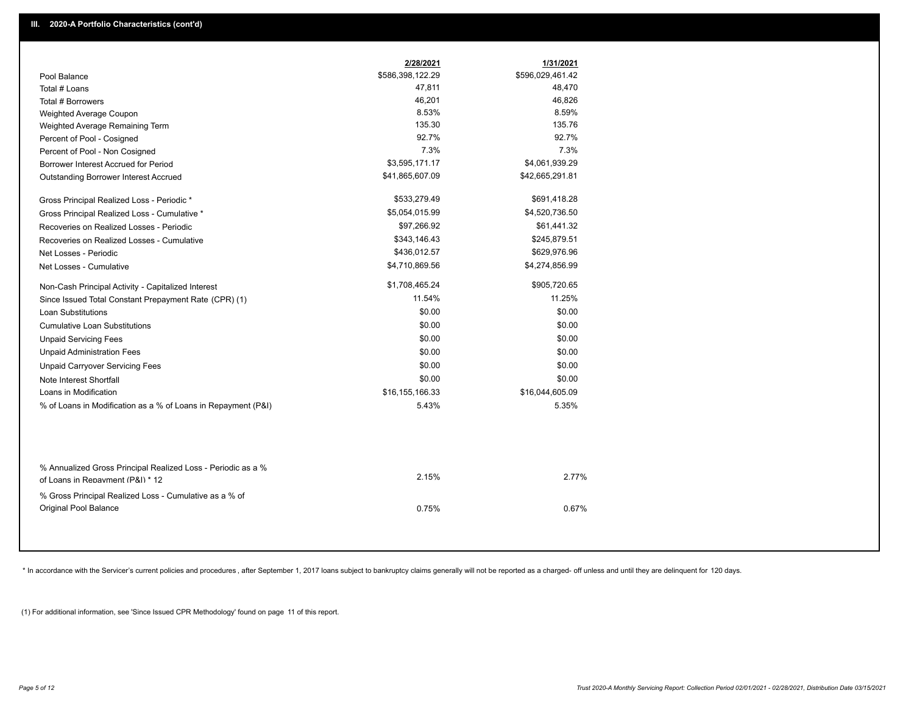| \$586,398,122.29<br>\$596,029,461.42<br>Pool Balance<br>47,811<br>48,470<br>Total # Loans<br>46,201<br>46,826<br>Total # Borrowers<br>8.53%<br>8.59%<br>Weighted Average Coupon<br>135.30<br>135.76<br>Weighted Average Remaining Term<br>92.7%<br>92.7%<br>Percent of Pool - Cosigned<br>7.3%<br>7.3%<br>Percent of Pool - Non Cosigned<br>\$3,595,171.17<br>\$4,061,939.29<br>Borrower Interest Accrued for Period<br>\$41,865,607.09<br>\$42,665,291.81<br>Outstanding Borrower Interest Accrued<br>\$533,279.49<br>\$691,418.28<br>Gross Principal Realized Loss - Periodic *<br>\$5,054,015.99<br>\$4,520,736.50<br>Gross Principal Realized Loss - Cumulative *<br>\$97,266.92<br>\$61,441.32<br>Recoveries on Realized Losses - Periodic<br>\$343,146.43<br>\$245,879.51<br>Recoveries on Realized Losses - Cumulative<br>\$436,012.57<br>\$629,976.96<br>Net Losses - Periodic<br>\$4,710,869.56<br>\$4,274,856.99<br>Net Losses - Cumulative<br>\$1,708,465.24<br>\$905,720.65<br>Non-Cash Principal Activity - Capitalized Interest<br>11.54%<br>11.25%<br>Since Issued Total Constant Prepayment Rate (CPR) (1)<br>\$0.00<br>\$0.00<br><b>Loan Substitutions</b><br>\$0.00<br>\$0.00<br><b>Cumulative Loan Substitutions</b><br>\$0.00<br>\$0.00<br><b>Unpaid Servicing Fees</b><br>\$0.00<br>\$0.00<br><b>Unpaid Administration Fees</b><br>\$0.00<br>\$0.00<br><b>Unpaid Carryover Servicing Fees</b><br>\$0.00<br>\$0.00<br>Note Interest Shortfall<br>\$16,044,605.09<br>Loans in Modification<br>\$16,155,166.33<br>5.43%<br>5.35%<br>% of Loans in Modification as a % of Loans in Repayment (P&I)<br>% Annualized Gross Principal Realized Loss - Periodic as a %<br>2.15%<br>2.77%<br>of Loans in Repayment (P&I) * 12<br>% Gross Principal Realized Loss - Cumulative as a % of<br>Original Pool Balance<br>0.75%<br>0.67% | 2/28/2021 | 1/31/2021 |  |
|------------------------------------------------------------------------------------------------------------------------------------------------------------------------------------------------------------------------------------------------------------------------------------------------------------------------------------------------------------------------------------------------------------------------------------------------------------------------------------------------------------------------------------------------------------------------------------------------------------------------------------------------------------------------------------------------------------------------------------------------------------------------------------------------------------------------------------------------------------------------------------------------------------------------------------------------------------------------------------------------------------------------------------------------------------------------------------------------------------------------------------------------------------------------------------------------------------------------------------------------------------------------------------------------------------------------------------------------------------------------------------------------------------------------------------------------------------------------------------------------------------------------------------------------------------------------------------------------------------------------------------------------------------------------------------------------------------------------------------------------------------------------------------------------------------------------------------------------|-----------|-----------|--|
|                                                                                                                                                                                                                                                                                                                                                                                                                                                                                                                                                                                                                                                                                                                                                                                                                                                                                                                                                                                                                                                                                                                                                                                                                                                                                                                                                                                                                                                                                                                                                                                                                                                                                                                                                                                                                                                |           |           |  |
|                                                                                                                                                                                                                                                                                                                                                                                                                                                                                                                                                                                                                                                                                                                                                                                                                                                                                                                                                                                                                                                                                                                                                                                                                                                                                                                                                                                                                                                                                                                                                                                                                                                                                                                                                                                                                                                |           |           |  |
|                                                                                                                                                                                                                                                                                                                                                                                                                                                                                                                                                                                                                                                                                                                                                                                                                                                                                                                                                                                                                                                                                                                                                                                                                                                                                                                                                                                                                                                                                                                                                                                                                                                                                                                                                                                                                                                |           |           |  |
|                                                                                                                                                                                                                                                                                                                                                                                                                                                                                                                                                                                                                                                                                                                                                                                                                                                                                                                                                                                                                                                                                                                                                                                                                                                                                                                                                                                                                                                                                                                                                                                                                                                                                                                                                                                                                                                |           |           |  |
|                                                                                                                                                                                                                                                                                                                                                                                                                                                                                                                                                                                                                                                                                                                                                                                                                                                                                                                                                                                                                                                                                                                                                                                                                                                                                                                                                                                                                                                                                                                                                                                                                                                                                                                                                                                                                                                |           |           |  |
|                                                                                                                                                                                                                                                                                                                                                                                                                                                                                                                                                                                                                                                                                                                                                                                                                                                                                                                                                                                                                                                                                                                                                                                                                                                                                                                                                                                                                                                                                                                                                                                                                                                                                                                                                                                                                                                |           |           |  |
|                                                                                                                                                                                                                                                                                                                                                                                                                                                                                                                                                                                                                                                                                                                                                                                                                                                                                                                                                                                                                                                                                                                                                                                                                                                                                                                                                                                                                                                                                                                                                                                                                                                                                                                                                                                                                                                |           |           |  |
|                                                                                                                                                                                                                                                                                                                                                                                                                                                                                                                                                                                                                                                                                                                                                                                                                                                                                                                                                                                                                                                                                                                                                                                                                                                                                                                                                                                                                                                                                                                                                                                                                                                                                                                                                                                                                                                |           |           |  |
|                                                                                                                                                                                                                                                                                                                                                                                                                                                                                                                                                                                                                                                                                                                                                                                                                                                                                                                                                                                                                                                                                                                                                                                                                                                                                                                                                                                                                                                                                                                                                                                                                                                                                                                                                                                                                                                |           |           |  |
|                                                                                                                                                                                                                                                                                                                                                                                                                                                                                                                                                                                                                                                                                                                                                                                                                                                                                                                                                                                                                                                                                                                                                                                                                                                                                                                                                                                                                                                                                                                                                                                                                                                                                                                                                                                                                                                |           |           |  |
|                                                                                                                                                                                                                                                                                                                                                                                                                                                                                                                                                                                                                                                                                                                                                                                                                                                                                                                                                                                                                                                                                                                                                                                                                                                                                                                                                                                                                                                                                                                                                                                                                                                                                                                                                                                                                                                |           |           |  |
|                                                                                                                                                                                                                                                                                                                                                                                                                                                                                                                                                                                                                                                                                                                                                                                                                                                                                                                                                                                                                                                                                                                                                                                                                                                                                                                                                                                                                                                                                                                                                                                                                                                                                                                                                                                                                                                |           |           |  |
|                                                                                                                                                                                                                                                                                                                                                                                                                                                                                                                                                                                                                                                                                                                                                                                                                                                                                                                                                                                                                                                                                                                                                                                                                                                                                                                                                                                                                                                                                                                                                                                                                                                                                                                                                                                                                                                |           |           |  |
|                                                                                                                                                                                                                                                                                                                                                                                                                                                                                                                                                                                                                                                                                                                                                                                                                                                                                                                                                                                                                                                                                                                                                                                                                                                                                                                                                                                                                                                                                                                                                                                                                                                                                                                                                                                                                                                |           |           |  |
|                                                                                                                                                                                                                                                                                                                                                                                                                                                                                                                                                                                                                                                                                                                                                                                                                                                                                                                                                                                                                                                                                                                                                                                                                                                                                                                                                                                                                                                                                                                                                                                                                                                                                                                                                                                                                                                |           |           |  |
|                                                                                                                                                                                                                                                                                                                                                                                                                                                                                                                                                                                                                                                                                                                                                                                                                                                                                                                                                                                                                                                                                                                                                                                                                                                                                                                                                                                                                                                                                                                                                                                                                                                                                                                                                                                                                                                |           |           |  |
|                                                                                                                                                                                                                                                                                                                                                                                                                                                                                                                                                                                                                                                                                                                                                                                                                                                                                                                                                                                                                                                                                                                                                                                                                                                                                                                                                                                                                                                                                                                                                                                                                                                                                                                                                                                                                                                |           |           |  |
|                                                                                                                                                                                                                                                                                                                                                                                                                                                                                                                                                                                                                                                                                                                                                                                                                                                                                                                                                                                                                                                                                                                                                                                                                                                                                                                                                                                                                                                                                                                                                                                                                                                                                                                                                                                                                                                |           |           |  |
|                                                                                                                                                                                                                                                                                                                                                                                                                                                                                                                                                                                                                                                                                                                                                                                                                                                                                                                                                                                                                                                                                                                                                                                                                                                                                                                                                                                                                                                                                                                                                                                                                                                                                                                                                                                                                                                |           |           |  |
|                                                                                                                                                                                                                                                                                                                                                                                                                                                                                                                                                                                                                                                                                                                                                                                                                                                                                                                                                                                                                                                                                                                                                                                                                                                                                                                                                                                                                                                                                                                                                                                                                                                                                                                                                                                                                                                |           |           |  |
|                                                                                                                                                                                                                                                                                                                                                                                                                                                                                                                                                                                                                                                                                                                                                                                                                                                                                                                                                                                                                                                                                                                                                                                                                                                                                                                                                                                                                                                                                                                                                                                                                                                                                                                                                                                                                                                |           |           |  |
|                                                                                                                                                                                                                                                                                                                                                                                                                                                                                                                                                                                                                                                                                                                                                                                                                                                                                                                                                                                                                                                                                                                                                                                                                                                                                                                                                                                                                                                                                                                                                                                                                                                                                                                                                                                                                                                |           |           |  |
|                                                                                                                                                                                                                                                                                                                                                                                                                                                                                                                                                                                                                                                                                                                                                                                                                                                                                                                                                                                                                                                                                                                                                                                                                                                                                                                                                                                                                                                                                                                                                                                                                                                                                                                                                                                                                                                |           |           |  |
|                                                                                                                                                                                                                                                                                                                                                                                                                                                                                                                                                                                                                                                                                                                                                                                                                                                                                                                                                                                                                                                                                                                                                                                                                                                                                                                                                                                                                                                                                                                                                                                                                                                                                                                                                                                                                                                |           |           |  |
|                                                                                                                                                                                                                                                                                                                                                                                                                                                                                                                                                                                                                                                                                                                                                                                                                                                                                                                                                                                                                                                                                                                                                                                                                                                                                                                                                                                                                                                                                                                                                                                                                                                                                                                                                                                                                                                |           |           |  |
|                                                                                                                                                                                                                                                                                                                                                                                                                                                                                                                                                                                                                                                                                                                                                                                                                                                                                                                                                                                                                                                                                                                                                                                                                                                                                                                                                                                                                                                                                                                                                                                                                                                                                                                                                                                                                                                |           |           |  |
|                                                                                                                                                                                                                                                                                                                                                                                                                                                                                                                                                                                                                                                                                                                                                                                                                                                                                                                                                                                                                                                                                                                                                                                                                                                                                                                                                                                                                                                                                                                                                                                                                                                                                                                                                                                                                                                |           |           |  |
|                                                                                                                                                                                                                                                                                                                                                                                                                                                                                                                                                                                                                                                                                                                                                                                                                                                                                                                                                                                                                                                                                                                                                                                                                                                                                                                                                                                                                                                                                                                                                                                                                                                                                                                                                                                                                                                |           |           |  |

\* In accordance with the Servicer's current policies and procedures, after September 1, 2017 loans subject to bankruptcy claims generally will not be reported as a charged- off unless and until they are delinquent for 120

(1) For additional information, see 'Since Issued CPR Methodology' found on page 11 of this report.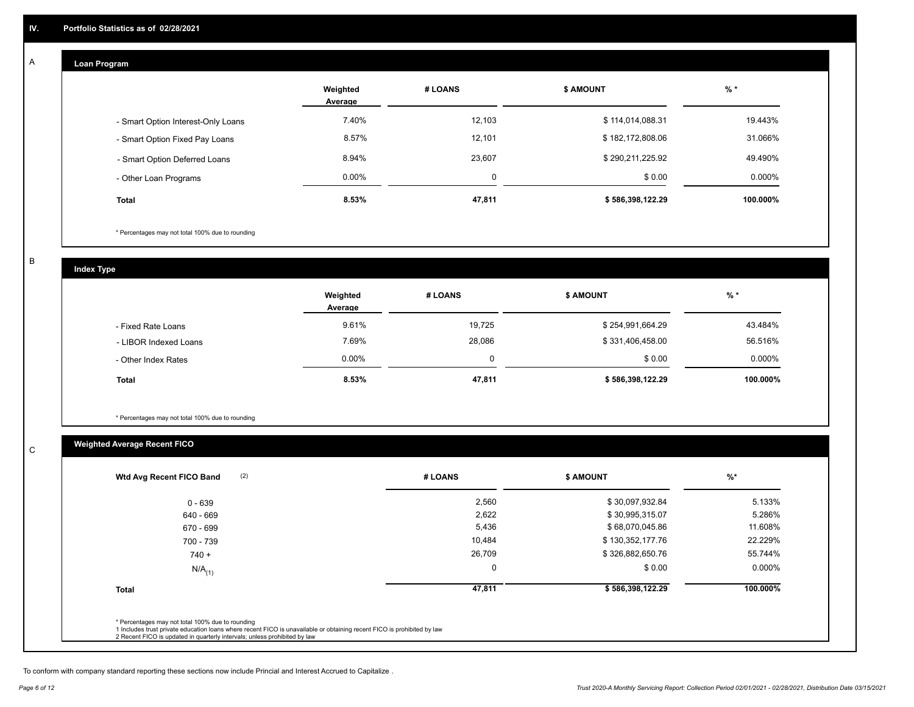## **Loan Program**

A

|                                    | Weighted<br>Average | # LOANS | <b>\$ AMOUNT</b> | $%$ *     |
|------------------------------------|---------------------|---------|------------------|-----------|
| - Smart Option Interest-Only Loans | 7.40%               | 12.103  | \$114,014,088.31 | 19.443%   |
| - Smart Option Fixed Pay Loans     | 8.57%               | 12,101  | \$182,172,808.06 | 31.066%   |
| - Smart Option Deferred Loans      | 8.94%               | 23,607  | \$290,211,225.92 | 49.490%   |
| - Other Loan Programs              | $0.00\%$            | 0       | \$0.00           | $0.000\%$ |
| <b>Total</b>                       | 8.53%               | 47,811  | \$586,398,122.29 | 100.000%  |

\* Percentages may not total 100% due to rounding

B

C

**Index Type**

|                       | Weighted<br>Average | # LOANS | <b>\$ AMOUNT</b> | $%$ *    |
|-----------------------|---------------------|---------|------------------|----------|
| - Fixed Rate Loans    | 9.61%               | 19,725  | \$254,991,664.29 | 43.484%  |
| - LIBOR Indexed Loans | 7.69%               | 28,086  | \$331,406,458.00 | 56.516%  |
| - Other Index Rates   | $0.00\%$            |         | \$0.00           | 0.000%   |
| <b>Total</b>          | 8.53%               | 47,811  | \$586,398,122.29 | 100.000% |

\* Percentages may not total 100% due to rounding

# **Weighted Average Recent FICO**

| $0 - 639$            | 2,560  | \$30,097,932.84  | 5.133%   |
|----------------------|--------|------------------|----------|
|                      |        |                  |          |
| 640 - 669            | 2,622  | \$30,995,315.07  | 5.286%   |
| 670 - 699            | 5,436  | \$68,070,045.86  | 11.608%  |
| 700 - 739            | 10,484 | \$130,352,177.76 | 22.229%  |
| $740 +$              | 26,709 | \$326,882,650.76 | 55.744%  |
| $N/A$ <sub>(1)</sub> | 0      | \$0.00           | 0.000%   |
| <b>Total</b>         | 47,811 | \$586,398,122.29 | 100.000% |

To conform with company standard reporting these sections now include Princial and Interest Accrued to Capitalize .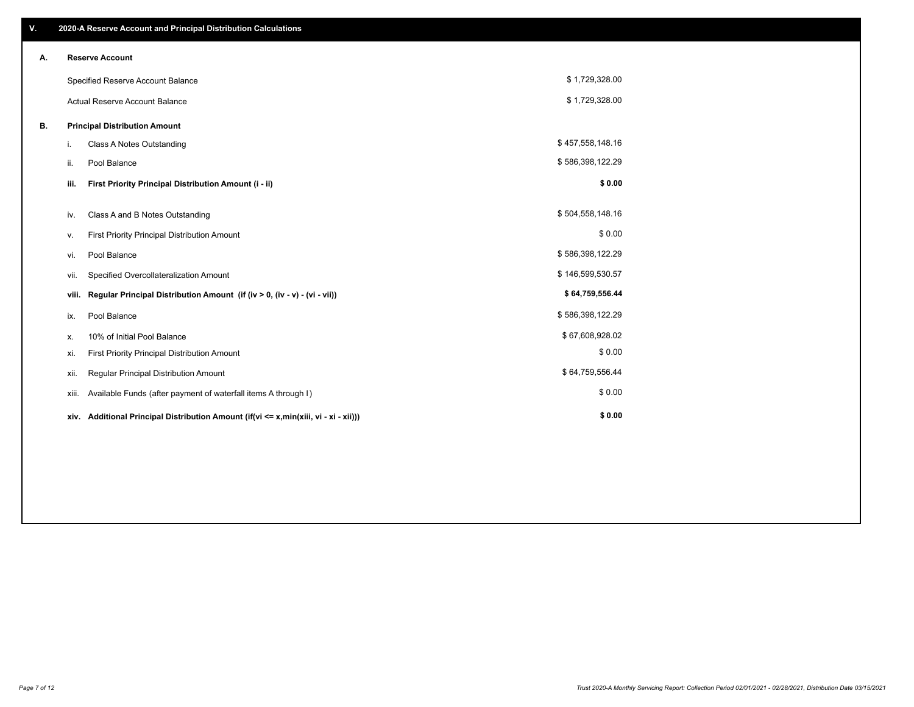| V. |       | 2020-A Reserve Account and Principal Distribution Calculations                       |                  |  |
|----|-------|--------------------------------------------------------------------------------------|------------------|--|
| А. |       | <b>Reserve Account</b>                                                               |                  |  |
|    |       | Specified Reserve Account Balance                                                    | \$1,729,328.00   |  |
|    |       | <b>Actual Reserve Account Balance</b>                                                | \$1,729,328.00   |  |
| В. |       | <b>Principal Distribution Amount</b>                                                 |                  |  |
|    | i.    | <b>Class A Notes Outstanding</b>                                                     | \$457,558,148.16 |  |
|    | ii.   | Pool Balance                                                                         | \$586,398,122.29 |  |
|    | iii.  | First Priority Principal Distribution Amount (i - ii)                                | \$0.00           |  |
|    | iv.   | Class A and B Notes Outstanding                                                      | \$504,558,148.16 |  |
|    | ۷.    | First Priority Principal Distribution Amount                                         | \$0.00           |  |
|    | vi.   | Pool Balance                                                                         | \$586,398,122.29 |  |
|    | vii.  | Specified Overcollateralization Amount                                               | \$146,599,530.57 |  |
|    | viii. | Regular Principal Distribution Amount (if (iv > 0, (iv - v) - (vi - vii))            | \$64,759,556.44  |  |
|    | ix.   | Pool Balance                                                                         | \$586,398,122.29 |  |
|    | х.    | 10% of Initial Pool Balance                                                          | \$67,608,928.02  |  |
|    | xi.   | First Priority Principal Distribution Amount                                         | \$0.00           |  |
|    | xii.  | Regular Principal Distribution Amount                                                | \$64,759,556.44  |  |
|    | xiii. | Available Funds (after payment of waterfall items A through I)                       | \$0.00           |  |
|    |       | xiv. Additional Principal Distribution Amount (if(vi <= x,min(xiii, vi - xi - xii))) | \$0.00           |  |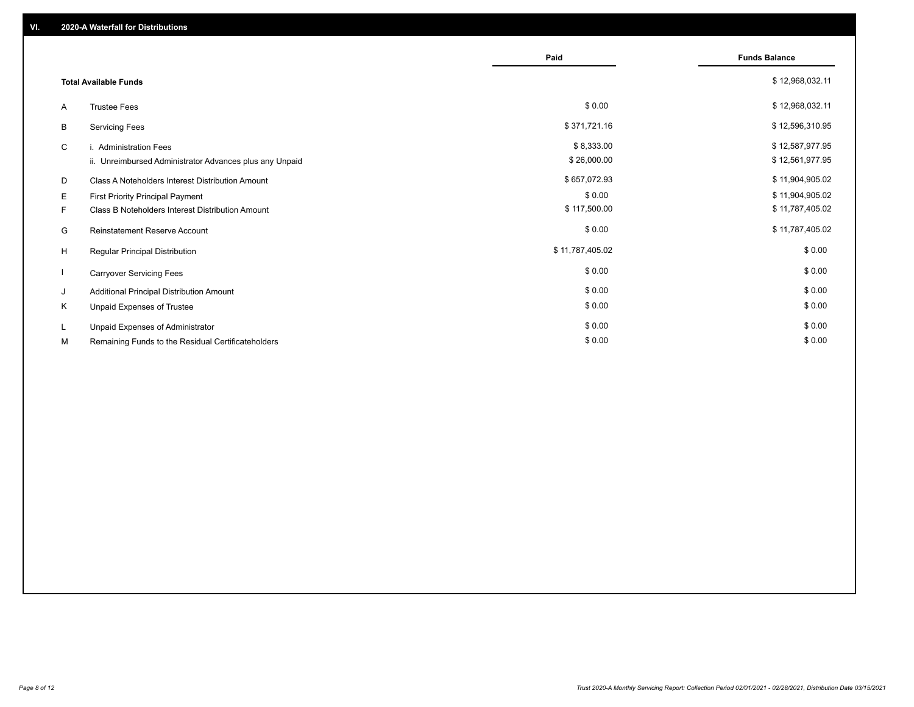|    |                                                         | Paid            | <b>Funds Balance</b> |
|----|---------------------------------------------------------|-----------------|----------------------|
|    | <b>Total Available Funds</b>                            |                 | \$12,968,032.11      |
| A  | <b>Trustee Fees</b>                                     | \$0.00          | \$12,968,032.11      |
| B  | <b>Servicing Fees</b>                                   | \$371,721.16    | \$12,596,310.95      |
| C  | i. Administration Fees                                  | \$8,333.00      | \$12,587,977.95      |
|    | ii. Unreimbursed Administrator Advances plus any Unpaid | \$26,000.00     | \$12,561,977.95      |
| D  | Class A Noteholders Interest Distribution Amount        | \$657,072.93    | \$11,904,905.02      |
| E. | First Priority Principal Payment                        | \$0.00          | \$11,904,905.02      |
| F. | Class B Noteholders Interest Distribution Amount        | \$117,500.00    | \$11,787,405.02      |
| G  | Reinstatement Reserve Account                           | \$0.00          | \$11,787,405.02      |
| H  | Regular Principal Distribution                          | \$11,787,405.02 | \$0.00               |
|    | <b>Carryover Servicing Fees</b>                         | \$0.00          | \$0.00               |
| J  | Additional Principal Distribution Amount                | \$0.00          | \$0.00               |
| K  | Unpaid Expenses of Trustee                              | \$0.00          | \$0.00               |
| L. | Unpaid Expenses of Administrator                        | \$0.00          | \$0.00               |
| М  | Remaining Funds to the Residual Certificateholders      | \$0.00          | \$0.00               |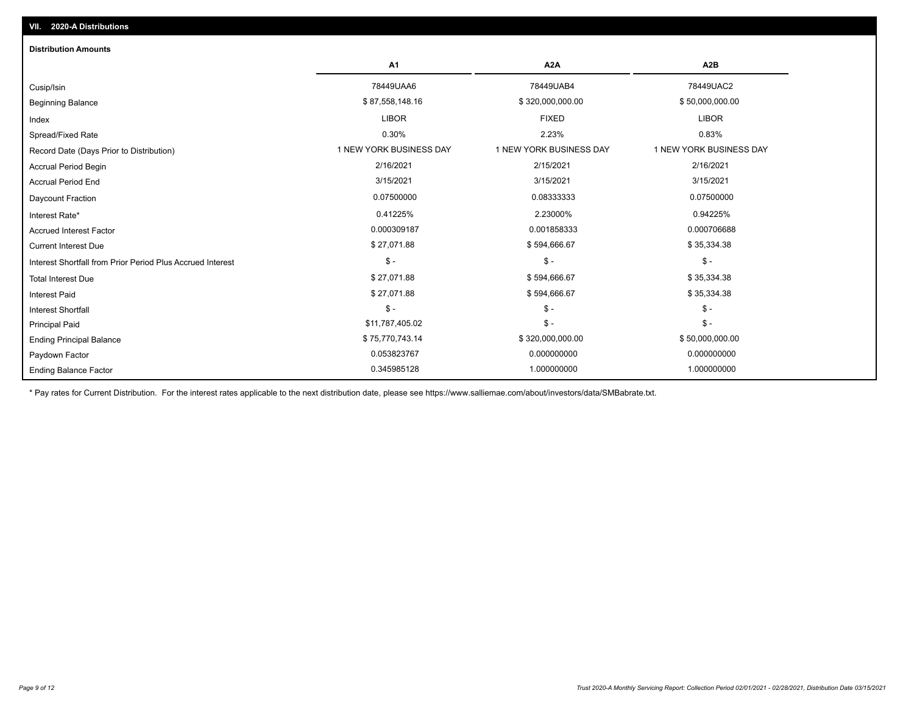| <b>Distribution Amounts</b>                                |                         |                         |                         |
|------------------------------------------------------------|-------------------------|-------------------------|-------------------------|
|                                                            | A <sub>1</sub>          | A2A                     | A <sub>2</sub> B        |
| Cusip/Isin                                                 | 78449UAA6               | 78449UAB4               | 78449UAC2               |
| <b>Beginning Balance</b>                                   | \$87,558,148.16         | \$320,000,000.00        | \$50,000,000.00         |
| Index                                                      | <b>LIBOR</b>            | <b>FIXED</b>            | <b>LIBOR</b>            |
| Spread/Fixed Rate                                          | 0.30%                   | 2.23%                   | 0.83%                   |
| Record Date (Days Prior to Distribution)                   | 1 NEW YORK BUSINESS DAY | 1 NEW YORK BUSINESS DAY | 1 NEW YORK BUSINESS DAY |
| <b>Accrual Period Begin</b>                                | 2/16/2021               | 2/15/2021               | 2/16/2021               |
| <b>Accrual Period End</b>                                  | 3/15/2021               | 3/15/2021               | 3/15/2021               |
| Daycount Fraction                                          | 0.07500000              | 0.08333333              | 0.07500000              |
| Interest Rate*                                             | 0.41225%                | 2.23000%                | 0.94225%                |
| <b>Accrued Interest Factor</b>                             | 0.000309187             | 0.001858333             | 0.000706688             |
| <b>Current Interest Due</b>                                | \$27,071.88             | \$594,666.67            | \$35,334.38             |
| Interest Shortfall from Prior Period Plus Accrued Interest | $\mathsf{\$}$ -         | $\mathsf{\$}$ -         | $\mathsf{\$}$ -         |
| <b>Total Interest Due</b>                                  | \$27,071.88             | \$594,666.67            | \$35,334.38             |
| <b>Interest Paid</b>                                       | \$27,071.88             | \$594,666.67            | \$35,334.38             |
| <b>Interest Shortfall</b>                                  | $\mathsf{\$}$ -         | $\mathsf{\$}$ -         | $\mathsf{\$}$ -         |
| <b>Principal Paid</b>                                      | \$11,787,405.02         | $\mathsf{\$}$ -         | $\mathsf{\$}$ -         |
| <b>Ending Principal Balance</b>                            | \$75,770,743.14         | \$320,000,000.00        | \$50,000,000.00         |
| Paydown Factor                                             | 0.053823767             | 0.000000000             | 0.000000000             |
| <b>Ending Balance Factor</b>                               | 0.345985128             | 1.000000000             | 1.000000000             |

\* Pay rates for Current Distribution. For the interest rates applicable to the next distribution date, please see https://www.salliemae.com/about/investors/data/SMBabrate.txt.

**VII. 2020-A Distributions**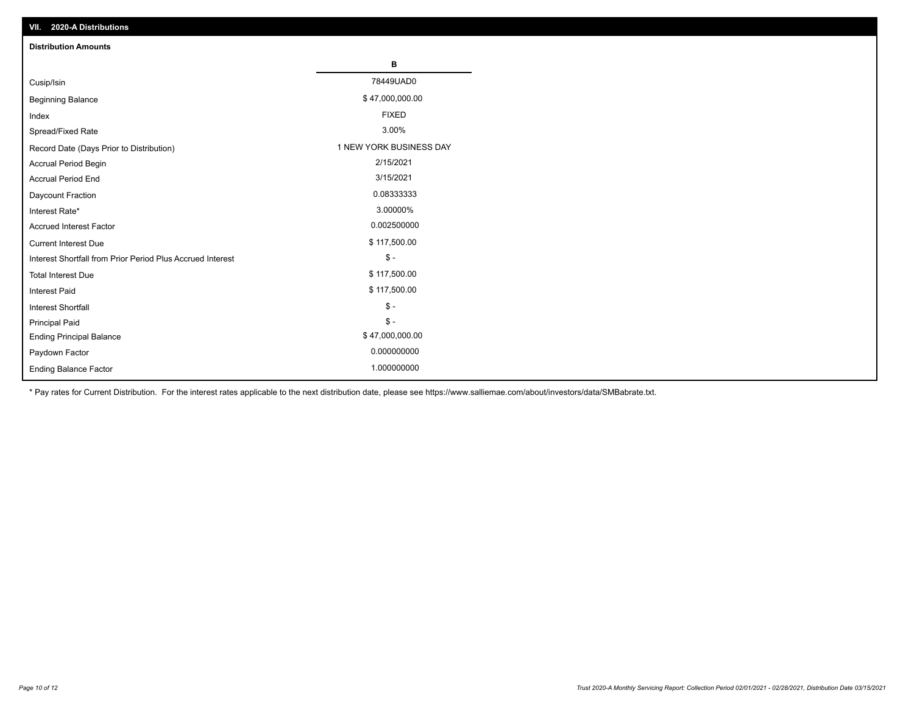| VII. 2020-A Distributions                                  |                         |
|------------------------------------------------------------|-------------------------|
| <b>Distribution Amounts</b>                                |                         |
|                                                            | в                       |
| Cusip/Isin                                                 | 78449UAD0               |
| <b>Beginning Balance</b>                                   | \$47,000,000.00         |
| Index                                                      | <b>FIXED</b>            |
| Spread/Fixed Rate                                          | 3.00%                   |
| Record Date (Days Prior to Distribution)                   | 1 NEW YORK BUSINESS DAY |
| <b>Accrual Period Begin</b>                                | 2/15/2021               |
| <b>Accrual Period End</b>                                  | 3/15/2021               |
| Daycount Fraction                                          | 0.08333333              |
| Interest Rate*                                             | 3.00000%                |
| <b>Accrued Interest Factor</b>                             | 0.002500000             |
| <b>Current Interest Due</b>                                | \$117,500.00            |
| Interest Shortfall from Prior Period Plus Accrued Interest | $\mathsf{\$}$ -         |
| <b>Total Interest Due</b>                                  | \$117,500.00            |
| <b>Interest Paid</b>                                       | \$117,500.00            |
| Interest Shortfall                                         | $\mathcal{S}$ -         |
| <b>Principal Paid</b>                                      | $\frac{1}{2}$           |
| <b>Ending Principal Balance</b>                            | \$47,000,000.00         |
| Paydown Factor                                             | 0.000000000             |
| <b>Ending Balance Factor</b>                               | 1.000000000             |

\* Pay rates for Current Distribution. For the interest rates applicable to the next distribution date, please see https://www.salliemae.com/about/investors/data/SMBabrate.txt.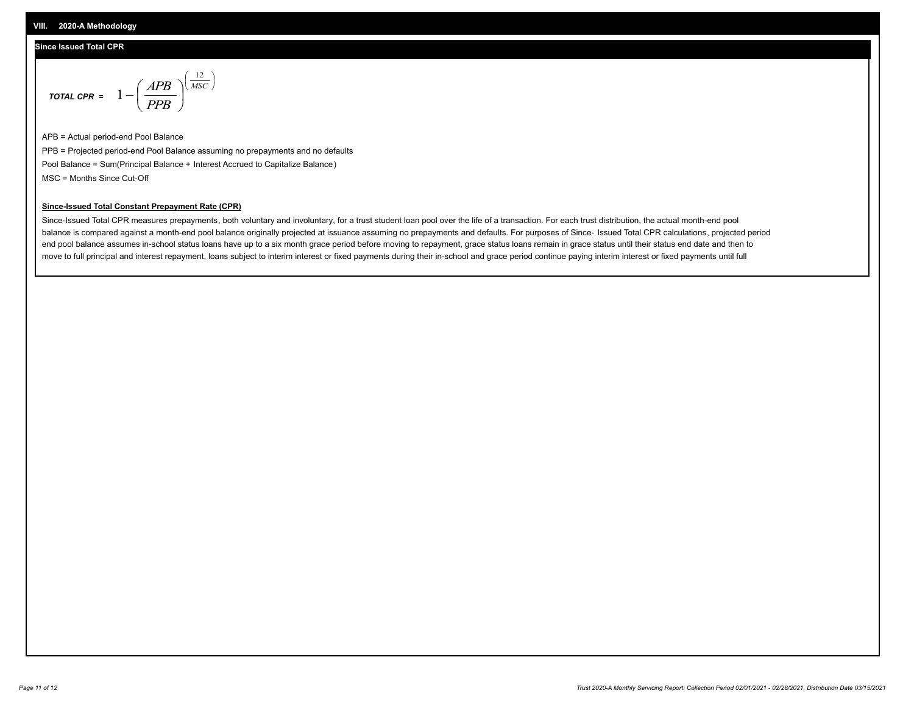#### **Since Issued Total CPR**

$$
\text{total CPR} = 1 - \left(\frac{APB}{PPB}\right)^{\left(\frac{12}{MSC}\right)}
$$

APB = Actual period-end Pool Balance PPB = Projected period-end Pool Balance assuming no prepayments and no defaults Pool Balance = Sum(Principal Balance + Interest Accrued to Capitalize Balance) MSC = Months Since Cut-Off

#### **Since-Issued Total Constant Prepayment Rate (CPR)**

Since-Issued Total CPR measures prepayments, both voluntary and involuntary, for a trust student loan pool over the life of a transaction. For each trust distribution, the actual month-end pool balance is compared against a month-end pool balance originally projected at issuance assuming no prepayments and defaults. For purposes of Since- Issued Total CPR calculations, projected period end pool balance assumes in-school status loans have up to a six month grace period before moving to repayment, grace status loans remain in grace status until their status end date and then to move to full principal and interest repayment, loans subject to interim interest or fixed payments during their in-school and grace period continue paying interim interest or fixed payments until full